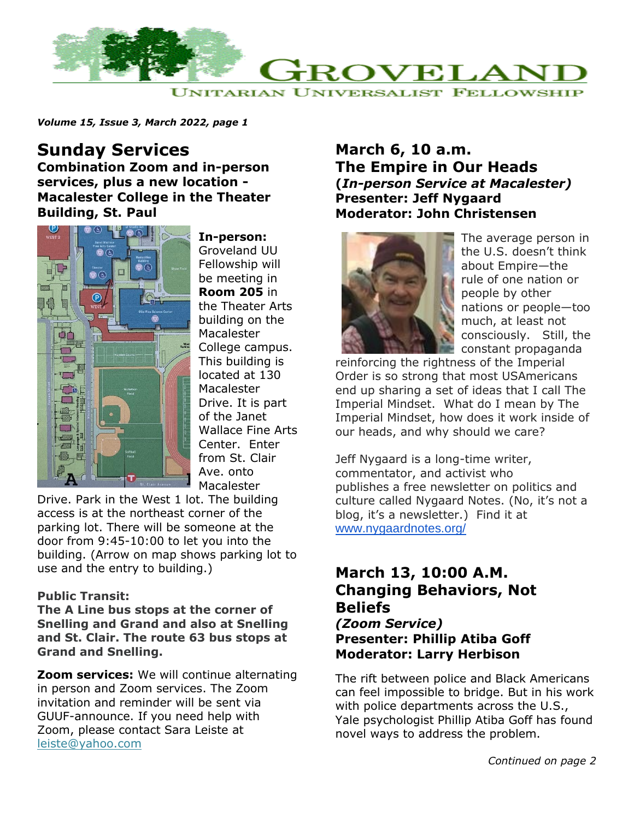

*Volume 15, Issue 3, March 2022, page 1*

# **Sunday Services**

**Combination Zoom and in-person services, plus a new location - Macalester College in the Theater Building, St. Paul**



**In-person:** Groveland UU Fellowship will be meeting in **Room 205** in the Theater Arts building on the Macalester College campus. This building is located at 130 **Macalester** Drive. It is part of the Janet Wallace Fine Arts Center. Enter from St. Clair Ave. onto Macalester

Drive. Park in the West 1 lot. The building access is at the northeast corner of the parking lot. There will be someone at the door from 9:45-10:00 to let you into the building. (Arrow on map shows parking lot to use and the entry to building.)

### **Public Transit:**

**The A Line bus stops at the corner of Snelling and Grand and also at Snelling and St. Clair. The route 63 bus stops at Grand and Snelling.**

**Zoom services:** We will continue alternating in person and Zoom services. The Zoom invitation and reminder will be sent via GUUF-announce. If you need help with Zoom, please contact Sara Leiste at [leiste@yahoo.com](mailto:leiste@yahoo.com)

### **March 6, 10 a.m. The Empire in Our Heads (***In-person Service at Macalester)* **Presenter: Jeff Nygaard Moderator: John Christensen**



The average person in the U.S. doesn't think about Empire—the rule of one nation or people by other nations or people—too much, at least not consciously. Still, the constant propaganda

reinforcing the rightness of the Imperial Order is so strong that most USAmericans end up sharing a set of ideas that I call The Imperial Mindset. What do I mean by The Imperial Mindset, how does it work inside of our heads, and why should we care?

Jeff Nygaard is a long-time writer, commentator, and activist who publishes a free newsletter on politics and culture called Nygaard Notes. (No, it's not a blog, it's a newsletter.) Find it at [www.nygaardnotes.org/](http://www.nygaardnotes.org/)

## **March 13, 10:00 A.M. Changing Behaviors, Not Beliefs** *(Zoom Service)*

**Presenter: Phillip Atiba Goff Moderator: Larry Herbison**

The rift between police and Black Americans can feel impossible to bridge. But in his work with police departments across the U.S., Yale psychologist Phillip Atiba Goff has found novel ways to address the problem.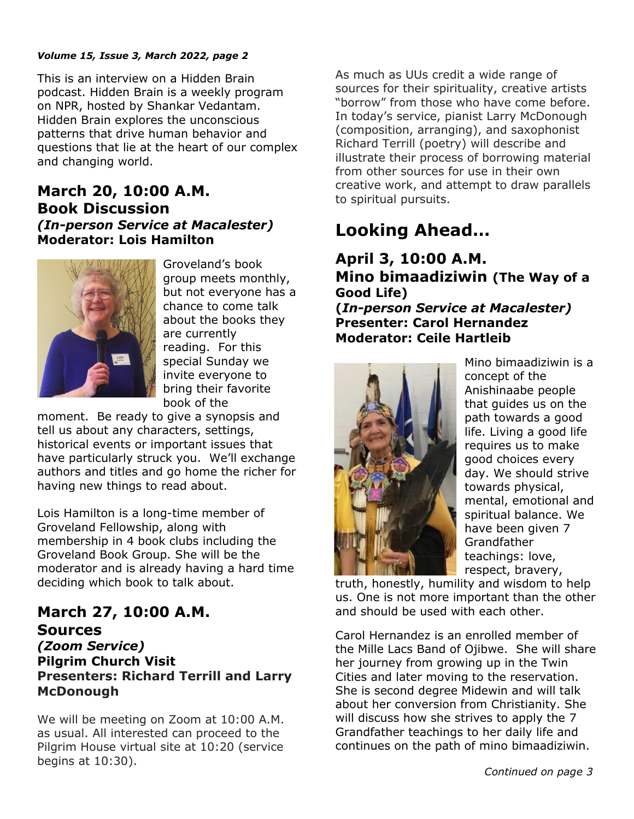### *Volume 15, Issue 3, March 2022, page 2*

This is an interview on a Hidden Brain podcast. Hidden Brain is a weekly program on NPR, hosted by Shankar Vedantam. Hidden Brain explores the unconscious patterns that drive human behavior and questions that lie at the heart of our complex and changing world.

### **March 20, 10:00 A.M. Book Discussion** *(In-person Service at Macalester)* **Moderator: Lois Hamilton**



Groveland's book group meets monthly, but not everyone has a chance to come talk about the books they are currently reading. For this special Sunday we invite everyone to bring their favorite book of the

moment. Be ready to give a synopsis and tell us about any characters, settings, historical events or important issues that have particularly struck you. We'll exchange authors and titles and go home the richer for having new things to read about.

Lois Hamilton is a long-time member of Groveland Fellowship, along with membership in 4 book clubs including the Groveland Book Group. She will be the moderator and is already having a hard time deciding which book to talk about.

### **March 27, 10:00 A.M. Sources** *(Zoom Service)* **Pilgrim Church Visit Presenters: Richard Terrill and Larry McDonough**

We will be meeting on Zoom at 10:00 A.M. as usual. All interested can proceed to the Pilgrim House virtual site at 10:20 (service begins at 10:30).

As much as UUs credit a wide range of sources for their spirituality, creative artists "borrow" from those who have come before. In today's service, pianist Larry McDonough (composition, arranging), and saxophonist Richard Terrill (poetry) will describe and illustrate their process of borrowing material from other sources for use in their own creative work, and attempt to draw parallels to spiritual pursuits.

# **Looking Ahead…**

### **April 3, 10:00 A.M. Mino bimaadiziwin (The Way of a Good Life)**

**(***In-person Service at Macalester)* **Presenter: Carol Hernandez Moderator: Ceile Hartleib**



Mino bimaadiziwin is a concept of the Anishinaabe people that guides us on the path towards a good life. Living a good life requires us to make good choices every day. We should strive towards physical, mental, emotional and spiritual balance. We have been given 7 Grandfather teachings: love, respect, bravery,

truth, honestly, humility and wisdom to help us. One is not more important than the other and should be used with each other.

Carol Hernandez is an enrolled member of the Mille Lacs Band of Ojibwe. She will share her journey from growing up in the Twin Cities and later moving to the reservation. She is second degree Midewin and will talk about her conversion from Christianity. She will discuss how she strives to apply the 7 Grandfather teachings to her daily life and continues on the path of mino bimaadiziwin.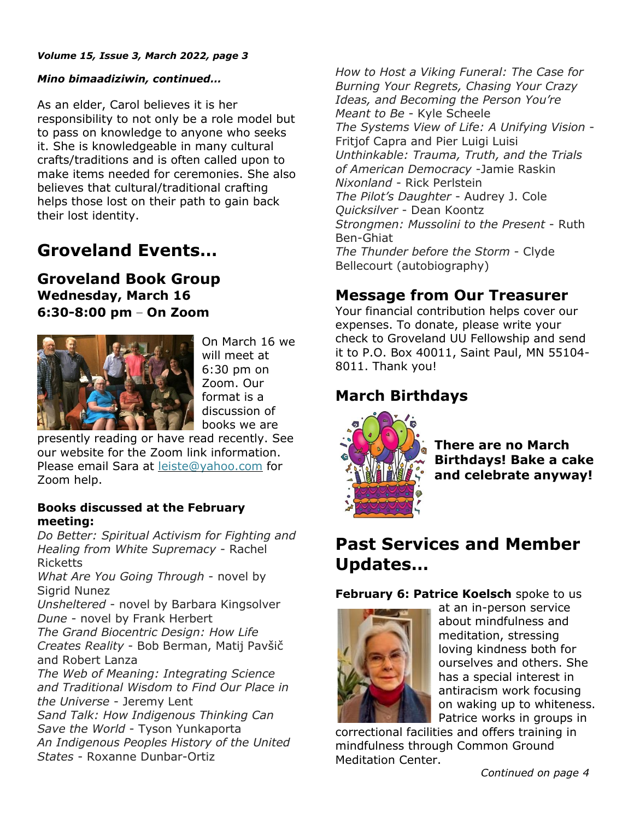#### *Volume 15, Issue 3, March 2022, page 3*

### *Mino bimaadiziwin, continued…*

As an elder, Carol believes it is her responsibility to not only be a role model but to pass on knowledge to anyone who seeks it. She is knowledgeable in many cultural crafts/traditions and is often called upon to make items needed for ceremonies. She also believes that cultural/traditional crafting helps those lost on their path to gain back their lost identity.

# **Groveland Events…**

**Groveland Book Group Wednesday, March 16 6:30-8:00 pm – On Zoom**



On March 16 we will meet at 6:30 pm on Zoom. Our format is a discussion of books we are

presently reading or have read recently. See our website for the Zoom link information. Please email Sara at [leiste@yahoo.com](mailto:leiste@yahoo.com) for Zoom help.

### **Books discussed at the February meeting:**

*Do Better: Spiritual Activism for Fighting and Healing from White Supremacy* - Rachel Ricketts

*What Are You Going Through* - novel by Sigrid Nunez

*Unsheltered* - novel by Barbara Kingsolver *Dune* - novel by Frank Herbert

*The Grand Biocentric Design: How Life Creates Reality* - Bob Berman, Matij Pavšič and Robert Lanza

*The Web of Meaning: Integrating Science and Traditional Wisdom to Find Our Place in the Universe* - Jeremy Lent

*Sand Talk: How Indigenous Thinking Can Save the World* - Tyson Yunkaporta *An Indigenous Peoples History of the United States* - Roxanne Dunbar-Ortiz

*How to Host a Viking Funeral: The Case for Burning Your Regrets, Chasing Your Crazy Ideas, and Becoming the Person You're Meant to Be* - Kyle Scheele *The Systems View of Life: A Unifying Vision* - Fritjof Capra and Pier Luigi Luisi *Unthinkable: Trauma, Truth, and the Trials of American Democracy* -Jamie Raskin *Nixonland* - Rick Perlstein *The Pilot's Daughter* - Audrey J. Cole *Quicksilver* - Dean Koontz *Strongmen: Mussolini to the Present* - Ruth Ben-Ghiat *The Thunder before the Storm* - Clyde Bellecourt (autobiography)

## **Message from Our Treasurer**

Your financial contribution helps cover our expenses. To donate, please write your check to Groveland UU Fellowship and send it to P.O. Box 40011, Saint Paul, MN 55104- 8011. Thank you!

## **March Birthdays**



**There are no March Birthdays! Bake a cake and celebrate anyway!**

# **Past Services and Member Updates…**

**February 6: Patrice Koelsch** spoke to us



at an in-person service about mindfulness and meditation, stressing loving kindness both for ourselves and others. She has a special interest in antiracism work focusing on waking up to whiteness. Patrice works in groups in

correctional facilities and offers training in mindfulness through Common Ground Meditation Center.